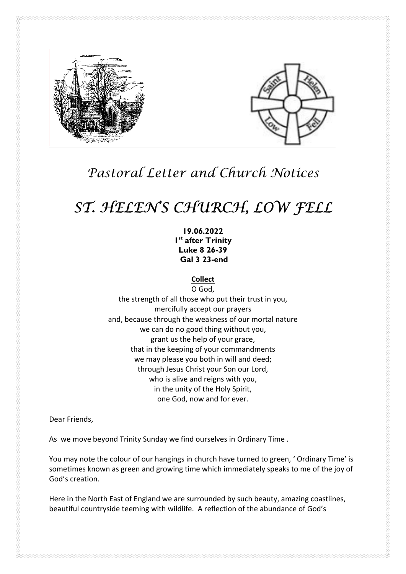

# Pastoral Letter and Church Notices

# ST. HELEN'S CHURCH, LOW FELL

19.06.2022 I<sup>st</sup> after Trinity Luke 8 26-39 Gal 3 23-end

**Collect** 

O God, the strength of all those who put their trust in you, mercifully accept our prayers and, because through the weakness of our mortal nature we can do no good thing without you, grant us the help of your grace, that in the keeping of your commandments we may please you both in will and deed; through Jesus Christ your Son our Lord, who is alive and reigns with you, in the unity of the Holy Spirit, one God, now and for ever.

Dear Friends,

As we move beyond Trinity Sunday we find ourselves in Ordinary Time .

You may note the colour of our hangings in church have turned to green, ' Ordinary Time' is sometimes known as green and growing time which immediately speaks to me of the joy of God's creation.

Here in the North East of England we are surrounded by such beauty, amazing coastlines, beautiful countryside teeming with wildlife. A reflection of the abundance of God's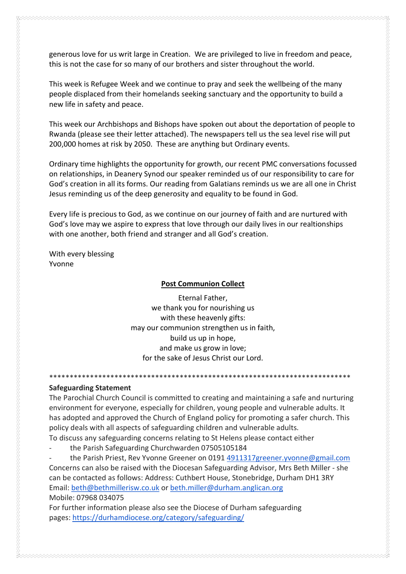generous love for us writ large in Creation. We are privileged to live in freedom and peace, this is not the case for so many of our brothers and sister throughout the world.

This week is Refugee Week and we continue to pray and seek the wellbeing of the many people displaced from their homelands seeking sanctuary and the opportunity to build a new life in safety and peace.

This week our Archbishops and Bishops have spoken out about the deportation of people to Rwanda (please see their letter attached). The newspapers tell us the sea level rise will put 200,000 homes at risk by 2050. These are anything but Ordinary events.

Ordinary time highlights the opportunity for growth, our recent PMC conversations focussed on relationships, in Deanery Synod our speaker reminded us of our responsibility to care for God's creation in all its forms. Our reading from Galatians reminds us we are all one in Christ Jesus reminding us of the deep generosity and equality to be found in God.

Every life is precious to God, as we continue on our journey of faith and are nurtured with God's love may we aspire to express that love through our daily lives in our realtionships with one another, both friend and stranger and all God's creation.

With every blessing Yvonne

#### Post Communion Collect

Eternal Father, we thank you for nourishing us with these heavenly gifts: may our communion strengthen us in faith, build us up in hope, and make us grow in love; for the sake of Jesus Christ our Lord.

#### Safeguarding Statement

The Parochial Church Council is committed to creating and maintaining a safe and nurturing environment for everyone, especially for children, young people and vulnerable adults. It has adopted and approved the Church of England policy for promoting a safer church. This policy deals with all aspects of safeguarding children and vulnerable adults.

\*\*\*\*\*\*\*\*\*\*\*\*\*\*\*\*\*\*\*\*\*\*\*\*\*\*\*\*\*\*\*\*\*\*\*\*\*\*\*\*\*\*\*\*\*\*\*\*\*\*\*\*\*\*\*\*\*\*\*\*\*\*\*\*\*\*\*\*\*\*\*\*\*\*

To discuss any safeguarding concerns relating to St Helens please contact either

the Parish Safeguarding Churchwarden 07505105184

the Parish Priest, Rev Yvonne Greener on 0191 4911317greener.yvonne@gmail.com Concerns can also be raised with the Diocesan Safeguarding Advisor, Mrs Beth Miller - she can be contacted as follows: Address: Cuthbert House, Stonebridge, Durham DH1 3RY Email: beth@bethmillerisw.co.uk or beth.miller@durham.anglican.org Mobile: 07968 034075

For further information please also see the Diocese of Durham safeguarding pages: https://durhamdiocese.org/category/safeguarding/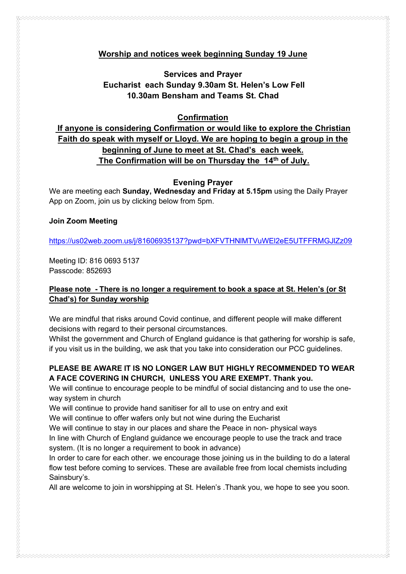## Worship and notices week beginning Sunday 19 June

# Services and Prayer Eucharist each Sunday 9.30am St. Helen's Low Fell 10.30am Bensham and Teams St. Chad

#### Confirmation

# If anyone is considering Confirmation or would like to explore the Christian Faith do speak with myself or Lloyd. We are hoping to begin a group in the beginning of June to meet at St. Chad's each week. The Confirmation will be on Thursday the 14<sup>th</sup> of July.

### Evening Prayer

We are meeting each Sunday, Wednesday and Friday at 5.15pm using the Daily Prayer App on Zoom, join us by clicking below from 5pm.

#### Join Zoom Meeting

https://us02web.zoom.us/j/81606935137?pwd=bXFVTHNlMTVuWEl2eE5UTFFRMGJlZz09

Meeting ID: 816 0693 5137 Passcode: 852693

### Please note - There is no longer a requirement to book a space at St. Helen's (or St Chad's) for Sunday worship

We are mindful that risks around Covid continue, and different people will make different decisions with regard to their personal circumstances.

Whilst the government and Church of England guidance is that gathering for worship is safe, if you visit us in the building, we ask that you take into consideration our PCC guidelines.

# PLEASE BE AWARE IT IS NO LONGER LAW BUT HIGHLY RECOMMENDED TO WEAR A FACE COVERING IN CHURCH, UNLESS YOU ARE EXEMPT. Thank you.

We will continue to encourage people to be mindful of social distancing and to use the oneway system in church

We will continue to provide hand sanitiser for all to use on entry and exit

We will continue to offer wafers only but not wine during the Eucharist

We will continue to stay in our places and share the Peace in non- physical ways

In line with Church of England guidance we encourage people to use the track and trace system. (It is no longer a requirement to book in advance)

In order to care for each other. we encourage those joining us in the building to do a lateral flow test before coming to services. These are available free from local chemists including Sainsbury's.

All are welcome to join in worshipping at St. Helen's .Thank you, we hope to see you soon.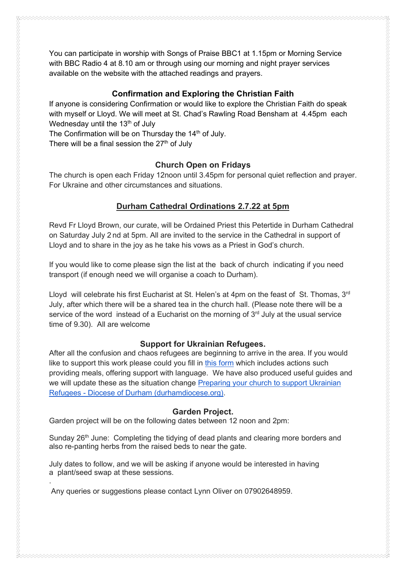You can participate in worship with Songs of Praise BBC1 at 1.15pm or Morning Service with BBC Radio 4 at 8.10 am or through using our morning and night prayer services available on the website with the attached readings and prayers.

### Confirmation and Exploring the Christian Faith

If anyone is considering Confirmation or would like to explore the Christian Faith do speak with myself or Lloyd. We will meet at St. Chad's Rawling Road Bensham at 4.45pm each Wednesday until the  $13<sup>th</sup>$  of July

The Confirmation will be on Thursday the 14<sup>th</sup> of July.

There will be a final session the  $27<sup>th</sup>$  of July

### Church Open on Fridays

The church is open each Friday 12noon until 3.45pm for personal quiet reflection and prayer. For Ukraine and other circumstances and situations.

# Durham Cathedral Ordinations 2.7.22 at 5pm

Revd Fr Lloyd Brown, our curate, will be Ordained Priest this Petertide in Durham Cathedral on Saturday July 2 nd at 5pm. All are invited to the service in the Cathedral in support of Lloyd and to share in the joy as he take his vows as a Priest in God's church.

If you would like to come please sign the list at the back of church indicating if you need transport (if enough need we will organise a coach to Durham).

Lloyd will celebrate his first Eucharist at St. Helen's at 4pm on the feast of St. Thomas, 3<sup>rd</sup> July, after which there will be a shared tea in the church hall. (Please note there will be a service of the word instead of a Eucharist on the morning of  $3<sup>rd</sup>$  July at the usual service time of 9.30). All are welcome

#### Support for Ukrainian Refugees.

After all the confusion and chaos refugees are beginning to arrive in the area. If you would like to support this work please could you fill in this form which includes actions such providing meals, offering support with language. We have also produced useful guides and we will update these as the situation change Preparing your church to support Ukrainian Refugees - Diocese of Durham (durhamdiocese.org).

#### Garden Project.

Garden project will be on the following dates between 12 noon and 2pm:

Sunday 26<sup>th</sup> June: Completing the tidying of dead plants and clearing more borders and also re-panting herbs from the raised beds to near the gate.

July dates to follow, and we will be asking if anyone would be interested in having a plant/seed swap at these sessions.

Any queries or suggestions please contact Lynn Oliver on 07902648959.

.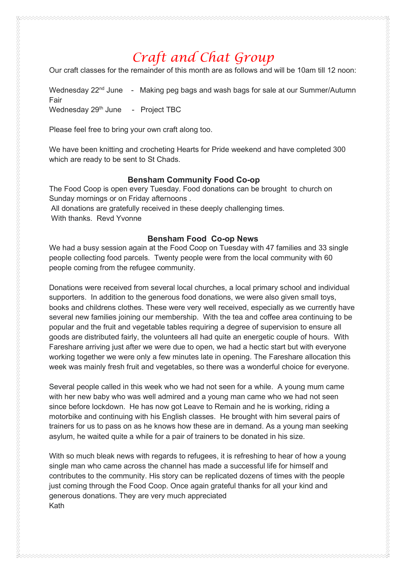# Craft and Chat Group

Our craft classes for the remainder of this month are as follows and will be 10am till 12 noon:

Wednesday  $22<sup>nd</sup>$  June  $-$  Making peg bags and wash bags for sale at our Summer/Autumn Fair Wednesday 29<sup>th</sup> June - Project TBC

Please feel free to bring your own craft along too.

We have been knitting and crocheting Hearts for Pride weekend and have completed 300 which are ready to be sent to St Chads.

#### Bensham Community Food Co-op

The Food Coop is open every Tuesday. Food donations can be brought to church on Sunday mornings or on Friday afternoons . All donations are gratefully received in these deeply challenging times.

With thanks. Revd Yvonne

#### Bensham Food Co-op News

We had a busy session again at the Food Coop on Tuesday with 47 families and 33 single people collecting food parcels. Twenty people were from the local community with 60 people coming from the refugee community.

Donations were received from several local churches, a local primary school and individual supporters. In addition to the generous food donations, we were also given small toys, books and childrens clothes. These were very well received, especially as we currently have several new families joining our membership. With the tea and coffee area continuing to be popular and the fruit and vegetable tables requiring a degree of supervision to ensure all goods are distributed fairly, the volunteers all had quite an energetic couple of hours. With Fareshare arriving just after we were due to open, we had a hectic start but with everyone working together we were only a few minutes late in opening. The Fareshare allocation this week was mainly fresh fruit and vegetables, so there was a wonderful choice for everyone.

Several people called in this week who we had not seen for a while. A young mum came with her new baby who was well admired and a young man came who we had not seen since before lockdown. He has now got Leave to Remain and he is working, riding a motorbike and continuing with his English classes. He brought with him several pairs of trainers for us to pass on as he knows how these are in demand. As a young man seeking asylum, he waited quite a while for a pair of trainers to be donated in his size.

With so much bleak news with regards to refugees, it is refreshing to hear of how a young single man who came across the channel has made a successful life for himself and contributes to the community. His story can be replicated dozens of times with the people just coming through the Food Coop. Once again grateful thanks for all your kind and generous donations. They are very much appreciated Kath